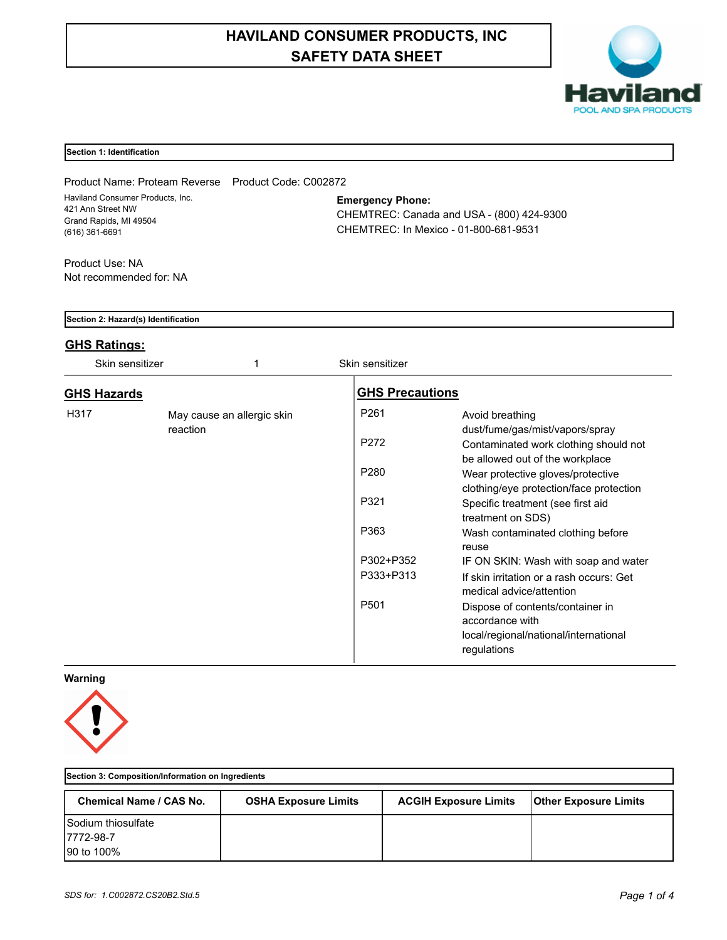# **HAVILAND CONSUMER PRODUCTS, INC SAFETY DATA SHEET**



### **Section 1: Identification**

Product Name: Proteam Reverse Product Code: C002872 Haviland Consumer Products, Inc. 421 Ann Street NW Grand Rapids, MI 49504 (616) 361-6691

**Emergency Phone:**

CHEMTREC: Canada and USA - (800) 424-9300 CHEMTREC: In Mexico - 01-800-681-9531

Product Use: NA Not recommended for: NA

### **Section 2: Hazard(s) Identification**

# **GHS Ratings:**

Skin sensitizer 1 and 1 Skin sensitizer

| <b>GHS Hazards</b> |                            |                  | <b>GHS Precautions</b>                   |  |  |
|--------------------|----------------------------|------------------|------------------------------------------|--|--|
| H317               | May cause an allergic skin | P <sub>261</sub> | Avoid breathing                          |  |  |
|                    | reaction                   |                  | dust/fume/gas/mist/vapors/spray          |  |  |
|                    |                            | P272             | Contaminated work clothing should not    |  |  |
|                    |                            |                  | be allowed out of the workplace          |  |  |
|                    |                            | P <sub>280</sub> | Wear protective gloves/protective        |  |  |
|                    |                            |                  | clothing/eye protection/face protection  |  |  |
|                    |                            | P321             | Specific treatment (see first aid        |  |  |
|                    |                            |                  | treatment on SDS)                        |  |  |
|                    |                            | P363             | Wash contaminated clothing before        |  |  |
|                    |                            |                  | reuse                                    |  |  |
|                    |                            | P302+P352        | IF ON SKIN: Wash with soap and water     |  |  |
|                    |                            | P333+P313        | If skin irritation or a rash occurs: Get |  |  |
|                    |                            |                  | medical advice/attention                 |  |  |
|                    |                            | P <sub>501</sub> | Dispose of contents/container in         |  |  |
|                    |                            |                  | accordance with                          |  |  |
|                    |                            |                  | local/regional/national/international    |  |  |
|                    |                            |                  | regulations                              |  |  |

## **Warning**



| Section 3: Composition/Information on Ingredients |                             |                              |                              |  |  |  |  |
|---------------------------------------------------|-----------------------------|------------------------------|------------------------------|--|--|--|--|
| Chemical Name / CAS No.                           | <b>OSHA Exposure Limits</b> | <b>ACGIH Exposure Limits</b> | <b>Other Exposure Limits</b> |  |  |  |  |
| Sodium thiosulfate                                |                             |                              |                              |  |  |  |  |
| 17772-98-7                                        |                             |                              |                              |  |  |  |  |
| 90 to 100%                                        |                             |                              |                              |  |  |  |  |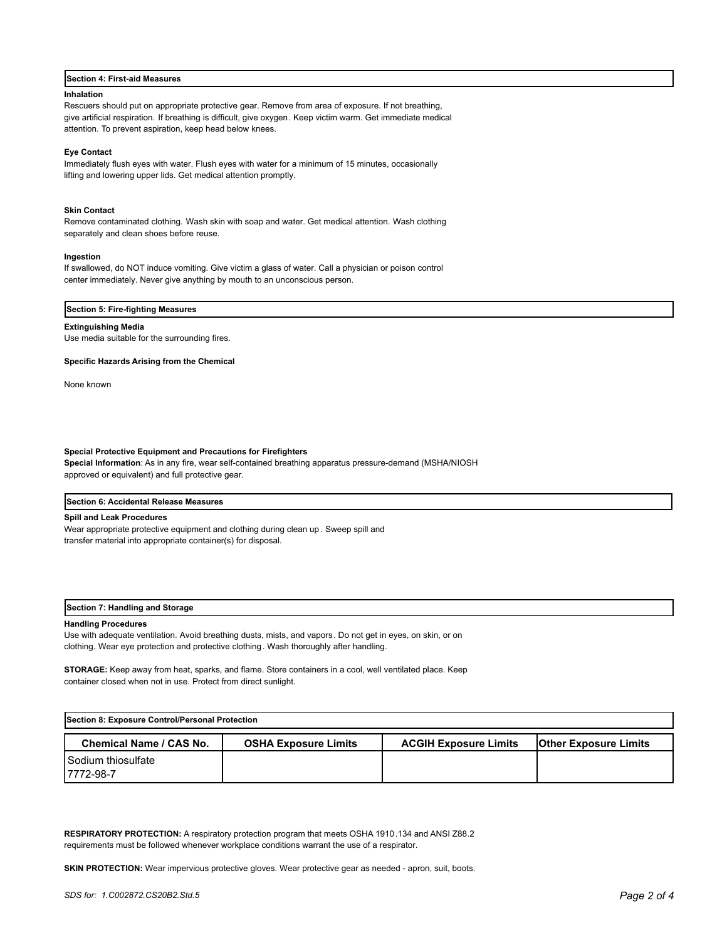### **Section 4: First-aid Measures**

### **Inhalation**

Rescuers should put on appropriate protective gear. Remove from area of exposure. If not breathing, give artificial respiration. If breathing is difficult, give oxygen. Keep victim warm. Get immediate medical attention. To prevent aspiration, keep head below knees.

### **Eye Contact**

Immediately flush eyes with water. Flush eyes with water for a minimum of 15 minutes, occasionally lifting and lowering upper lids. Get medical attention promptly.

### **Skin Contact**

Remove contaminated clothing. Wash skin with soap and water. Get medical attention. Wash clothing separately and clean shoes before reuse.

### **Ingestion**

If swallowed, do NOT induce vomiting. Give victim a glass of water. Call a physician or poison control center immediately. Never give anything by mouth to an unconscious person.

### **Section 5: Fire-fighting Measures**

# **Extinguishing Media**

Use media suitable for the surrounding fires.

**Specific Hazards Arising from the Chemical**

None known

### **Special Protective Equipment and Precautions for Firefighters**

**Special Information**: As in any fire, wear self-contained breathing apparatus pressure-demand (MSHA/NIOSH approved or equivalent) and full protective gear.

### **Section 6: Accidental Release Measures**

### **Spill and Leak Procedures**

Wear appropriate protective equipment and clothing during clean up . Sweep spill and transfer material into appropriate container(s) for disposal.

### **Section 7: Handling and Storage**

### **Handling Procedures**

Use with adequate ventilation. Avoid breathing dusts, mists, and vapors. Do not get in eyes, on skin, or on clothing. Wear eye protection and protective clothing. Wash thoroughly after handling.

**STORAGE:** Keep away from heat, sparks, and flame. Store containers in a cool, well ventilated place. Keep container closed when not in use. Protect from direct sunlight.

| Section 8: Exposure Control/Personal Protection |                             |                              |                              |  |  |  |  |
|-------------------------------------------------|-----------------------------|------------------------------|------------------------------|--|--|--|--|
| <b>Chemical Name / CAS No.</b>                  | <b>OSHA Exposure Limits</b> | <b>ACGIH Exposure Limits</b> | <b>Other Exposure Limits</b> |  |  |  |  |
| Sodium thiosulfate                              |                             |                              |                              |  |  |  |  |
| 17772-98-7                                      |                             |                              |                              |  |  |  |  |

**RESPIRATORY PROTECTION:** A respiratory protection program that meets OSHA 1910.134 and ANSI Z88.2 requirements must be followed whenever workplace conditions warrant the use of a respirator.

**SKIN PROTECTION:** Wear impervious protective gloves. Wear protective gear as needed - apron, suit, boots.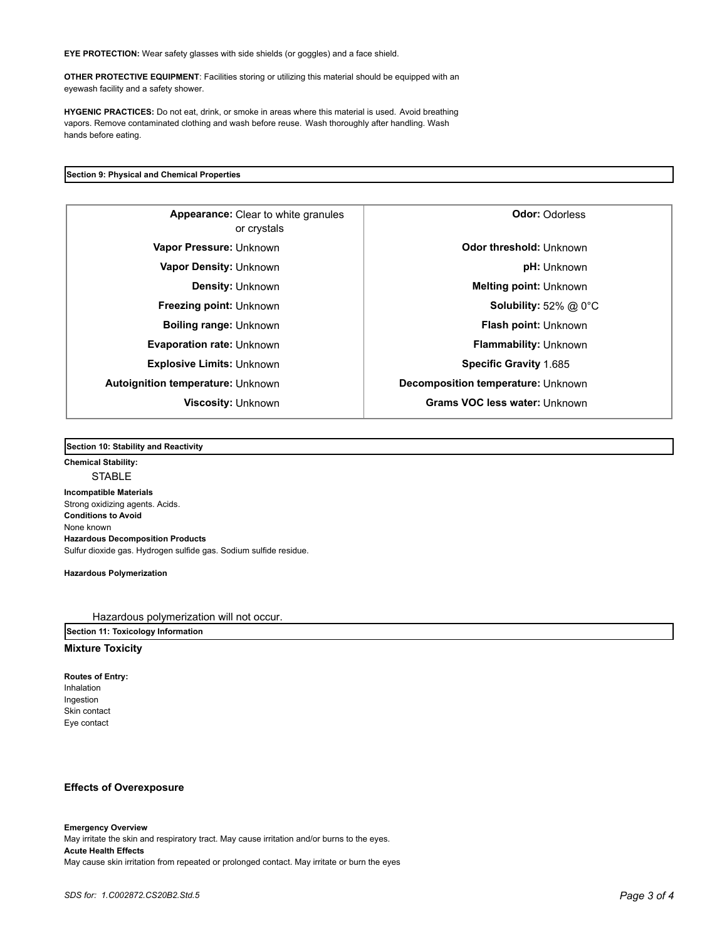**EYE PROTECTION:** Wear safety glasses with side shields (or goggles) and a face shield.

**OTHER PROTECTIVE EQUIPMENT**: Facilities storing or utilizing this material should be equipped with an eyewash facility and a safety shower.

**HYGENIC PRACTICES:** Do not eat, drink, or smoke in areas where this material is used. Avoid breathing vapors. Remove contaminated clothing and wash before reuse. Wash thoroughly after handling. Wash hands before eating.

### **Section 9: Physical and Chemical Properties**

**Appearance:** Clear to white granules  $\qquad$  **CODE 2008 Odor:** Odorless or crystals **Explosive Limits:** Unknown **Specific Gravity** 1.685 **Autoignition temperature:** Unknown **Decomposition temperature:** Unknown **Viscosity:** Unknown **Grams VOC less water:** Unknown

**Vapor Pressure:** Unknown **CODO CONSTRESS UNKNOWN Vapor Density:** Unknown **pH:** Unknown **Density:** Unknown **Melting point:** Unknown **Freezing point:** Unknown **Solubility:** 52% @ 0°C **Boiling range:** Unknown **Flash point: Unknown Evaporation rate:** Unknown **Flammability:** Unknown

**Section 10: Stability and Reactivity** 

**Chemical Stability:** STABLE

**Incompatible Materials**  Strong oxidizing agents. Acids. **Conditions to Avoid** None known **Hazardous Decomposition Products** Sulfur dioxide gas. Hydrogen sulfide gas. Sodium sulfide residue.

**Hazardous Polymerization**

Hazardous polymerization will not occur.

**Section 11: Toxicology Information**

### **Mixture Toxicity**

**Routes of Entry:** Inhalation Ingestion Skin contact Eye contact

### **Effects of Overexposure**

**Emergency Overview** May irritate the skin and respiratory tract. May cause irritation and/or burns to the eyes. **Acute Health Effects** May cause skin irritation from repeated or prolonged contact. May irritate or burn the eyes